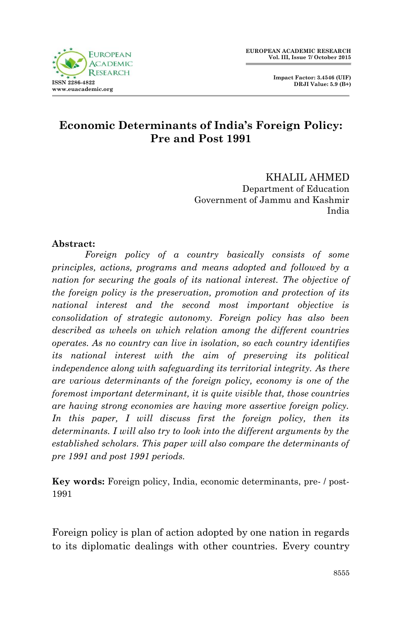**Impact Factor: 3.4546 (UIF) DRJI Value: 5.9 (B+)**



## **Economic Determinants of India's Foreign Policy: Pre and Post 1991**

KHALIL AHMED Department of Education Government of Jammu and Kashmir India

#### **Abstract:**

*Foreign policy of a country basically consists of some principles, actions, programs and means adopted and followed by a nation for securing the goals of its national interest. The objective of the foreign policy is the preservation, promotion and protection of its national interest and the second most important objective is consolidation of strategic autonomy. Foreign policy has also been described as wheels on which relation among the different countries operates. As no country can live in isolation, so each country identifies its national interest with the aim of preserving its political independence along with safeguarding its territorial integrity. As there are various determinants of the foreign policy, economy is one of the foremost important determinant, it is quite visible that, those countries are having strong economies are having more assertive foreign policy. In this paper, I will discuss first the foreign policy, then its determinants. I will also try to look into the different arguments by the established scholars. This paper will also compare the determinants of pre 1991 and post 1991 periods.* 

**Key words:** Foreign policy, India, economic determinants, pre- / post-1991

Foreign policy is plan of action adopted by one nation in regards to its diplomatic dealings with other countries. Every country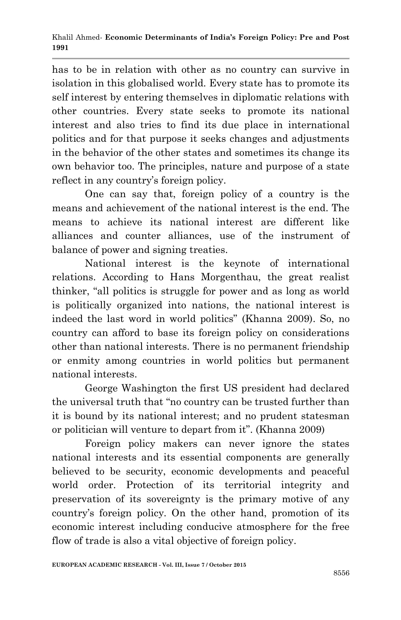has to be in relation with other as no country can survive in isolation in this globalised world. Every state has to promote its self interest by entering themselves in diplomatic relations with other countries. Every state seeks to promote its national interest and also tries to find its due place in international politics and for that purpose it seeks changes and adjustments in the behavior of the other states and sometimes its change its own behavior too. The principles, nature and purpose of a state reflect in any country's foreign policy.

One can say that, foreign policy of a country is the means and achievement of the national interest is the end. The means to achieve its national interest are different like alliances and counter alliances, use of the instrument of balance of power and signing treaties.

National interest is the keynote of international relations. According to Hans Morgenthau, the great realist thinker, "all politics is struggle for power and as long as world is politically organized into nations, the national interest is indeed the last word in world politics" (Khanna 2009). So, no country can afford to base its foreign policy on considerations other than national interests. There is no permanent friendship or enmity among countries in world politics but permanent national interests.

George Washington the first US president had declared the universal truth that "no country can be trusted further than it is bound by its national interest; and no prudent statesman or politician will venture to depart from it". (Khanna 2009)

Foreign policy makers can never ignore the states national interests and its essential components are generally believed to be security, economic developments and peaceful world order. Protection of its territorial integrity and preservation of its sovereignty is the primary motive of any country"s foreign policy. On the other hand, promotion of its economic interest including conducive atmosphere for the free flow of trade is also a vital objective of foreign policy.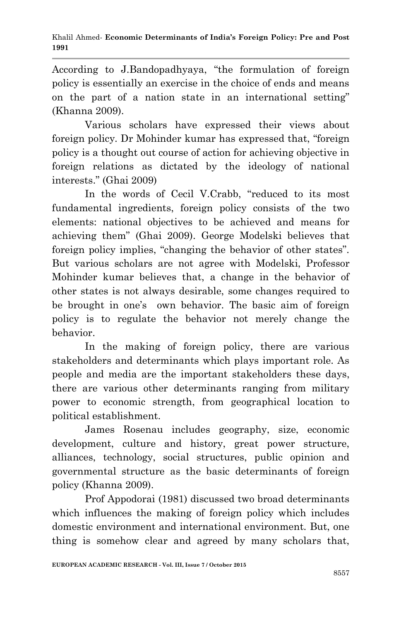According to J.Bandopadhyaya, "the formulation of foreign policy is essentially an exercise in the choice of ends and means on the part of a nation state in an international setting" (Khanna 2009).

Various scholars have expressed their views about foreign policy. Dr Mohinder kumar has expressed that, "foreign policy is a thought out course of action for achieving objective in foreign relations as dictated by the ideology of national interests." (Ghai 2009)

In the words of Cecil V.Crabb, "reduced to its most fundamental ingredients, foreign policy consists of the two elements: national objectives to be achieved and means for achieving them" (Ghai 2009). George Modelski believes that foreign policy implies, "changing the behavior of other states". But various scholars are not agree with Modelski, Professor Mohinder kumar believes that, a change in the behavior of other states is not always desirable, some changes required to be brought in one's own behavior. The basic aim of foreign policy is to regulate the behavior not merely change the behavior.

In the making of foreign policy, there are various stakeholders and determinants which plays important role. As people and media are the important stakeholders these days, there are various other determinants ranging from military power to economic strength, from geographical location to political establishment.

James Rosenau includes geography, size, economic development, culture and history, great power structure, alliances, technology, social structures, public opinion and governmental structure as the basic determinants of foreign policy (Khanna 2009).

Prof Appodorai (1981) discussed two broad determinants which influences the making of foreign policy which includes domestic environment and international environment. But, one thing is somehow clear and agreed by many scholars that,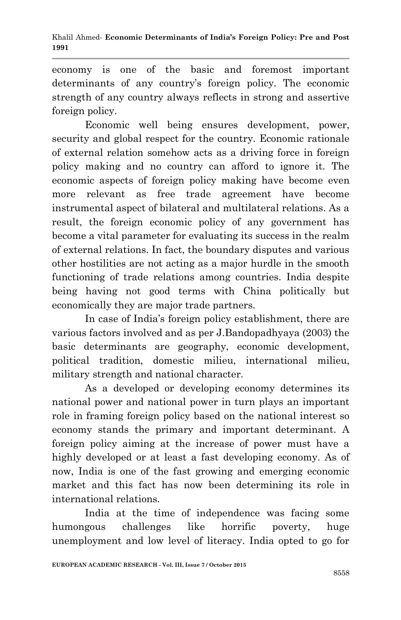economy is one of the basic and foremost important determinants of any country's foreign policy. The economic strength of any country always reflects in strong and assertive foreign policy.

Economic well being ensures development, power, security and global respect for the country. Economic rationale of external relation somehow acts as a driving force in foreign policy making and no country can afford to ignore it. The economic aspects of foreign policy making have become even more relevant as free trade agreement have become instrumental aspect of bilateral and multilateral relations. As a result, the foreign economic policy of any government has become a vital parameter for evaluating its success in the realm of external relations. In fact, the boundary disputes and various other hostilities are not acting as a major hurdle in the smooth functioning of trade relations among countries. India despite being having not good terms with China politically but economically they are major trade partners.

In case of India"s foreign policy establishment, there are various factors involved and as per J.Bandopadhyaya (2003) the basic determinants are geography, economic development, political tradition, domestic milieu, international milieu, military strength and national character.

As a developed or developing economy determines its national power and national power in turn plays an important role in framing foreign policy based on the national interest so economy stands the primary and important determinant. A foreign policy aiming at the increase of power must have a highly developed or at least a fast developing economy. As of now, India is one of the fast growing and emerging economic market and this fact has now been determining its role in international relations.

India at the time of independence was facing some humongous challenges like horrific poverty, huge unemployment and low level of literacy. India opted to go for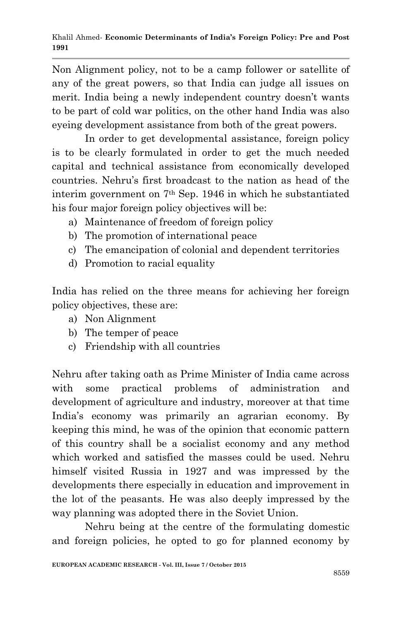Non Alignment policy, not to be a camp follower or satellite of any of the great powers, so that India can judge all issues on merit. India being a newly independent country doesn't wants to be part of cold war politics, on the other hand India was also eyeing development assistance from both of the great powers.

In order to get developmental assistance, foreign policy is to be clearly formulated in order to get the much needed capital and technical assistance from economically developed countries. Nehru"s first broadcast to the nation as head of the interim government on 7th Sep. 1946 in which he substantiated his four major foreign policy objectives will be:

- a) Maintenance of freedom of foreign policy
- b) The promotion of international peace
- c) The emancipation of colonial and dependent territories
- d) Promotion to racial equality

India has relied on the three means for achieving her foreign policy objectives, these are:

- a) Non Alignment
- b) The temper of peace
- c) Friendship with all countries

Nehru after taking oath as Prime Minister of India came across with some practical problems of administration and development of agriculture and industry, moreover at that time India"s economy was primarily an agrarian economy. By keeping this mind, he was of the opinion that economic pattern of this country shall be a socialist economy and any method which worked and satisfied the masses could be used. Nehru himself visited Russia in 1927 and was impressed by the developments there especially in education and improvement in the lot of the peasants. He was also deeply impressed by the way planning was adopted there in the Soviet Union.

Nehru being at the centre of the formulating domestic and foreign policies, he opted to go for planned economy by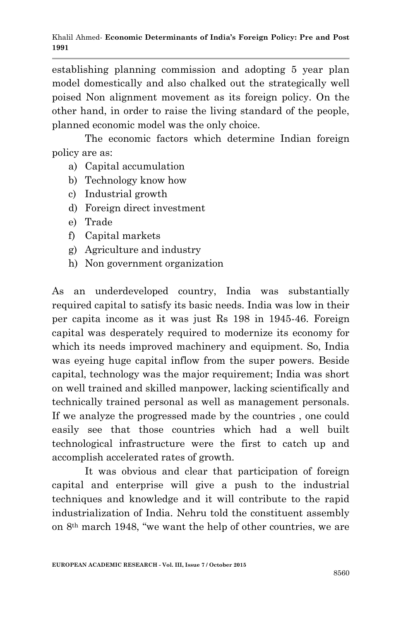establishing planning commission and adopting 5 year plan model domestically and also chalked out the strategically well poised Non alignment movement as its foreign policy. On the other hand, in order to raise the living standard of the people, planned economic model was the only choice.

The economic factors which determine Indian foreign policy are as:

- a) Capital accumulation
- b) Technology know how
- c) Industrial growth
- d) Foreign direct investment
- e) Trade
- f) Capital markets
- g) Agriculture and industry
- h) Non government organization

As an underdeveloped country, India was substantially required capital to satisfy its basic needs. India was low in their per capita income as it was just Rs 198 in 1945-46. Foreign capital was desperately required to modernize its economy for which its needs improved machinery and equipment. So, India was eyeing huge capital inflow from the super powers. Beside capital, technology was the major requirement; India was short on well trained and skilled manpower, lacking scientifically and technically trained personal as well as management personals. If we analyze the progressed made by the countries , one could easily see that those countries which had a well built technological infrastructure were the first to catch up and accomplish accelerated rates of growth.

It was obvious and clear that participation of foreign capital and enterprise will give a push to the industrial techniques and knowledge and it will contribute to the rapid industrialization of India. Nehru told the constituent assembly on 8th march 1948, "we want the help of other countries, we are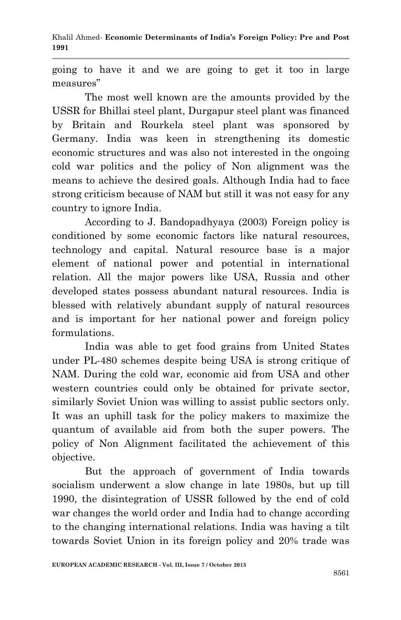going to have it and we are going to get it too in large measures"

The most well known are the amounts provided by the USSR for Bhillai steel plant, Durgapur steel plant was financed by Britain and Rourkela steel plant was sponsored by Germany. India was keen in strengthening its domestic economic structures and was also not interested in the ongoing cold war politics and the policy of Non alignment was the means to achieve the desired goals. Although India had to face strong criticism because of NAM but still it was not easy for any country to ignore India.

According to J. Bandopadhyaya (2003) Foreign policy is conditioned by some economic factors like natural resources, technology and capital. Natural resource base is a major element of national power and potential in international relation. All the major powers like USA, Russia and other developed states possess abundant natural resources. India is blessed with relatively abundant supply of natural resources and is important for her national power and foreign policy formulations.

India was able to get food grains from United States under PL-480 schemes despite being USA is strong critique of NAM. During the cold war, economic aid from USA and other western countries could only be obtained for private sector, similarly Soviet Union was willing to assist public sectors only. It was an uphill task for the policy makers to maximize the quantum of available aid from both the super powers. The policy of Non Alignment facilitated the achievement of this objective.

But the approach of government of India towards socialism underwent a slow change in late 1980s, but up till 1990, the disintegration of USSR followed by the end of cold war changes the world order and India had to change according to the changing international relations. India was having a tilt towards Soviet Union in its foreign policy and 20% trade was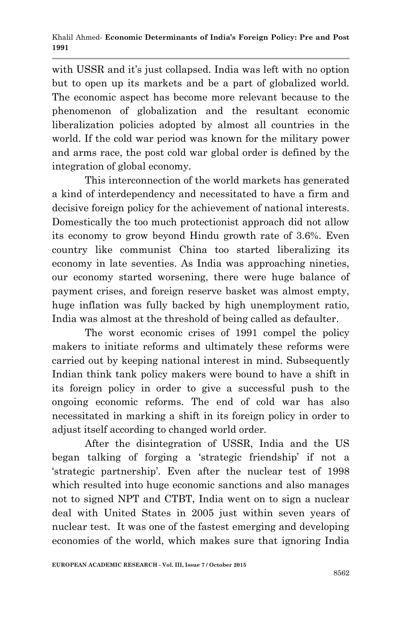with USSR and it's just collapsed. India was left with no option but to open up its markets and be a part of globalized world. The economic aspect has become more relevant because to the phenomenon of globalization and the resultant economic liberalization policies adopted by almost all countries in the world. If the cold war period was known for the military power and arms race, the post cold war global order is defined by the integration of global economy.

This interconnection of the world markets has generated a kind of interdependency and necessitated to have a firm and decisive foreign policy for the achievement of national interests. Domestically the too much protectionist approach did not allow its economy to grow beyond Hindu growth rate of 3.6%. Even country like communist China too started liberalizing its economy in late seventies. As India was approaching nineties, our economy started worsening, there were huge balance of payment crises, and foreign reserve basket was almost empty, huge inflation was fully backed by high unemployment ratio, India was almost at the threshold of being called as defaulter.

The worst economic crises of 1991 compel the policy makers to initiate reforms and ultimately these reforms were carried out by keeping national interest in mind. Subsequently Indian think tank policy makers were bound to have a shift in its foreign policy in order to give a successful push to the ongoing economic reforms. The end of cold war has also necessitated in marking a shift in its foreign policy in order to adjust itself according to changed world order.

After the disintegration of USSR, India and the US began talking of forging a "strategic friendship" if not a "strategic partnership". Even after the nuclear test of 1998 which resulted into huge economic sanctions and also manages not to signed NPT and CTBT, India went on to sign a nuclear deal with United States in 2005 just within seven years of nuclear test. It was one of the fastest emerging and developing economies of the world, which makes sure that ignoring India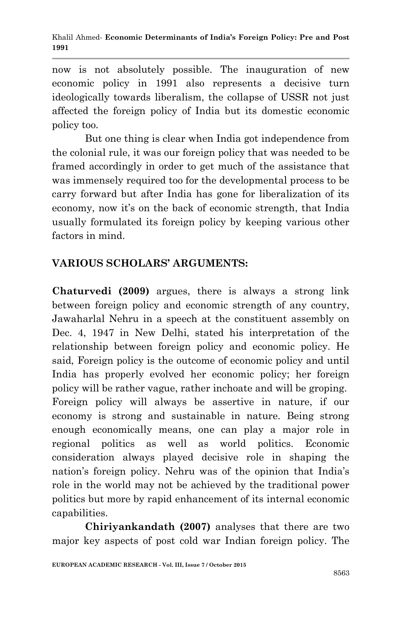now is not absolutely possible. The inauguration of new economic policy in 1991 also represents a decisive turn ideologically towards liberalism, the collapse of USSR not just affected the foreign policy of India but its domestic economic policy too.

But one thing is clear when India got independence from the colonial rule, it was our foreign policy that was needed to be framed accordingly in order to get much of the assistance that was immensely required too for the developmental process to be carry forward but after India has gone for liberalization of its economy, now it's on the back of economic strength, that India usually formulated its foreign policy by keeping various other factors in mind.

# **VARIOUS SCHOLARS' ARGUMENTS:**

**Chaturvedi (2009)** argues, there is always a strong link between foreign policy and economic strength of any country, Jawaharlal Nehru in a speech at the constituent assembly on Dec. 4, 1947 in New Delhi, stated his interpretation of the relationship between foreign policy and economic policy. He said, Foreign policy is the outcome of economic policy and until India has properly evolved her economic policy; her foreign policy will be rather vague, rather inchoate and will be groping. Foreign policy will always be assertive in nature, if our economy is strong and sustainable in nature. Being strong enough economically means, one can play a major role in regional politics as well as world politics. Economic consideration always played decisive role in shaping the nation's foreign policy. Nehru was of the opinion that India's role in the world may not be achieved by the traditional power politics but more by rapid enhancement of its internal economic capabilities.

**Chiriyankandath (2007)** analyses that there are two major key aspects of post cold war Indian foreign policy. The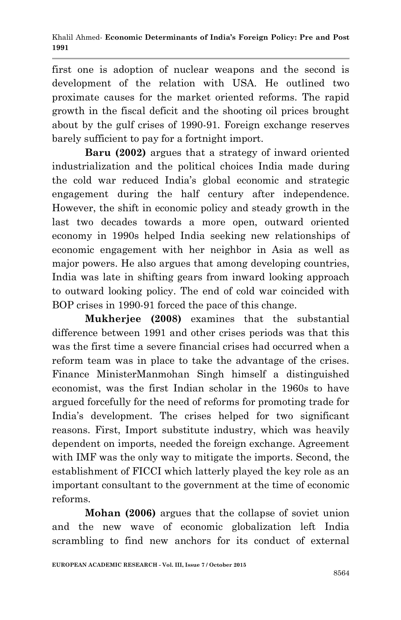first one is adoption of nuclear weapons and the second is development of the relation with USA. He outlined two proximate causes for the market oriented reforms. The rapid growth in the fiscal deficit and the shooting oil prices brought about by the gulf crises of 1990-91. Foreign exchange reserves barely sufficient to pay for a fortnight import.

**Baru (2002)** argues that a strategy of inward oriented industrialization and the political choices India made during the cold war reduced India"s global economic and strategic engagement during the half century after independence. However, the shift in economic policy and steady growth in the last two decades towards a more open, outward oriented economy in 1990s helped India seeking new relationships of economic engagement with her neighbor in Asia as well as major powers. He also argues that among developing countries, India was late in shifting gears from inward looking approach to outward looking policy. The end of cold war coincided with BOP crises in 1990-91 forced the pace of this change.

**Mukherjee (2008)** examines that the substantial difference between 1991 and other crises periods was that this was the first time a severe financial crises had occurred when a reform team was in place to take the advantage of the crises. Finance MinisterManmohan Singh himself a distinguished economist, was the first Indian scholar in the 1960s to have argued forcefully for the need of reforms for promoting trade for India"s development. The crises helped for two significant reasons. First, Import substitute industry, which was heavily dependent on imports, needed the foreign exchange. Agreement with IMF was the only way to mitigate the imports. Second, the establishment of FICCI which latterly played the key role as an important consultant to the government at the time of economic reforms.

**Mohan (2006)** argues that the collapse of soviet union and the new wave of economic globalization left India scrambling to find new anchors for its conduct of external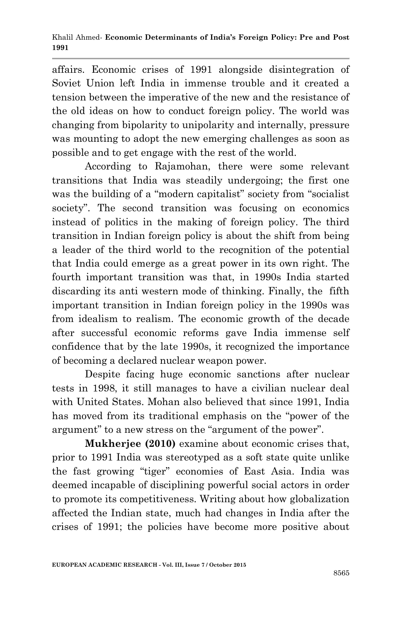affairs. Economic crises of 1991 alongside disintegration of Soviet Union left India in immense trouble and it created a tension between the imperative of the new and the resistance of the old ideas on how to conduct foreign policy. The world was changing from bipolarity to unipolarity and internally, pressure was mounting to adopt the new emerging challenges as soon as possible and to get engage with the rest of the world.

According to Rajamohan, there were some relevant transitions that India was steadily undergoing; the first one was the building of a "modern capitalist" society from "socialist society". The second transition was focusing on economics instead of politics in the making of foreign policy. The third transition in Indian foreign policy is about the shift from being a leader of the third world to the recognition of the potential that India could emerge as a great power in its own right. The fourth important transition was that, in 1990s India started discarding its anti western mode of thinking. Finally, the fifth important transition in Indian foreign policy in the 1990s was from idealism to realism. The economic growth of the decade after successful economic reforms gave India immense self confidence that by the late 1990s, it recognized the importance of becoming a declared nuclear weapon power.

Despite facing huge economic sanctions after nuclear tests in 1998, it still manages to have a civilian nuclear deal with United States. Mohan also believed that since 1991, India has moved from its traditional emphasis on the "power of the argument" to a new stress on the "argument of the power".

**Mukherjee (2010)** examine about economic crises that, prior to 1991 India was stereotyped as a soft state quite unlike the fast growing "tiger" economies of East Asia. India was deemed incapable of disciplining powerful social actors in order to promote its competitiveness. Writing about how globalization affected the Indian state, much had changes in India after the crises of 1991; the policies have become more positive about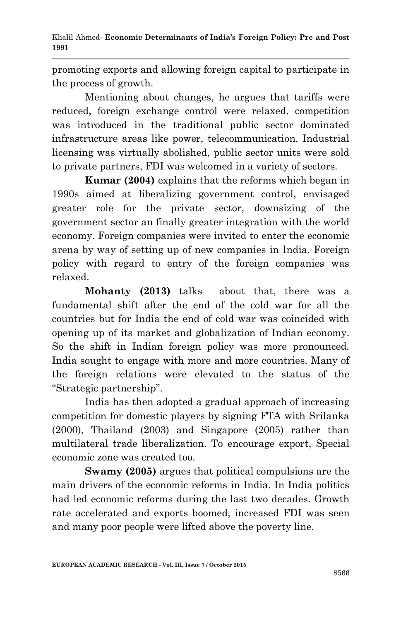promoting exports and allowing foreign capital to participate in the process of growth.

Mentioning about changes, he argues that tariffs were reduced, foreign exchange control were relaxed, competition was introduced in the traditional public sector dominated infrastructure areas like power, telecommunication. Industrial licensing was virtually abolished, public sector units were sold to private partners, FDI was welcomed in a variety of sectors.

**Kumar (2004)** explains that the reforms which began in 1990s aimed at liberalizing government control, envisaged greater role for the private sector, downsizing of the government sector an finally greater integration with the world economy. Foreign companies were invited to enter the economic arena by way of setting up of new companies in India. Foreign policy with regard to entry of the foreign companies was relaxed.

**Mohanty (2013)** talks about that, there was a fundamental shift after the end of the cold war for all the countries but for India the end of cold war was coincided with opening up of its market and globalization of Indian economy. So the shift in Indian foreign policy was more pronounced. India sought to engage with more and more countries. Many of the foreign relations were elevated to the status of the "Strategic partnership".

India has then adopted a gradual approach of increasing competition for domestic players by signing FTA with Srilanka (2000), Thailand (2003) and Singapore (2005) rather than multilateral trade liberalization. To encourage export, Special economic zone was created too.

**Swamy (2005)** argues that political compulsions are the main drivers of the economic reforms in India. In India politics had led economic reforms during the last two decades. Growth rate accelerated and exports boomed, increased FDI was seen and many poor people were lifted above the poverty line.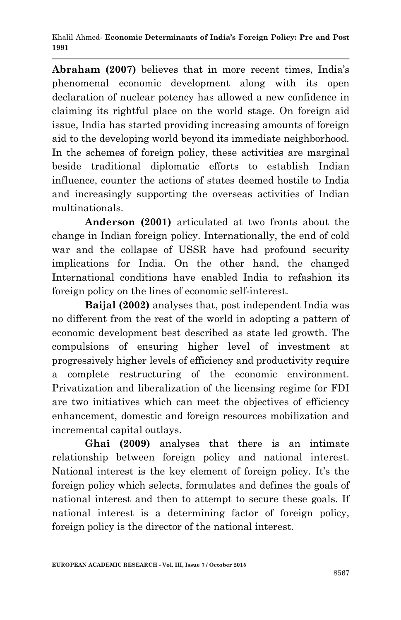**Abraham (2007)** believes that in more recent times, India"s phenomenal economic development along with its open declaration of nuclear potency has allowed a new confidence in claiming its rightful place on the world stage. On foreign aid issue, India has started providing increasing amounts of foreign aid to the developing world beyond its immediate neighborhood. In the schemes of foreign policy, these activities are marginal beside traditional diplomatic efforts to establish Indian influence, counter the actions of states deemed hostile to India and increasingly supporting the overseas activities of Indian multinationals.

**Anderson (2001)** articulated at two fronts about the change in Indian foreign policy. Internationally, the end of cold war and the collapse of USSR have had profound security implications for India. On the other hand, the changed International conditions have enabled India to refashion its foreign policy on the lines of economic self-interest.

**Baijal (2002)** analyses that, post independent India was no different from the rest of the world in adopting a pattern of economic development best described as state led growth. The compulsions of ensuring higher level of investment at progressively higher levels of efficiency and productivity require a complete restructuring of the economic environment. Privatization and liberalization of the licensing regime for FDI are two initiatives which can meet the objectives of efficiency enhancement, domestic and foreign resources mobilization and incremental capital outlays.

**Ghai (2009)** analyses that there is an intimate relationship between foreign policy and national interest. National interest is the key element of foreign policy. It's the foreign policy which selects, formulates and defines the goals of national interest and then to attempt to secure these goals. If national interest is a determining factor of foreign policy, foreign policy is the director of the national interest.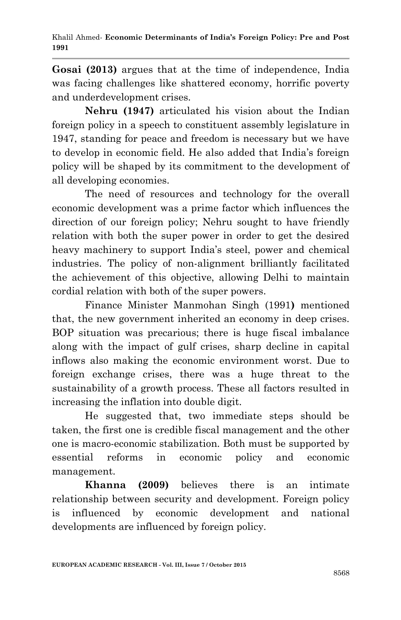**Gosai (2013)** argues that at the time of independence, India was facing challenges like shattered economy, horrific poverty and underdevelopment crises.

**Nehru (1947)** articulated his vision about the Indian foreign policy in a speech to constituent assembly legislature in 1947, standing for peace and freedom is necessary but we have to develop in economic field. He also added that India"s foreign policy will be shaped by its commitment to the development of all developing economies.

The need of resources and technology for the overall economic development was a prime factor which influences the direction of our foreign policy; Nehru sought to have friendly relation with both the super power in order to get the desired heavy machinery to support India's steel, power and chemical industries. The policy of non-alignment brilliantly facilitated the achievement of this objective, allowing Delhi to maintain cordial relation with both of the super powers.

Finance Minister Manmohan Singh (1991**)** mentioned that, the new government inherited an economy in deep crises. BOP situation was precarious; there is huge fiscal imbalance along with the impact of gulf crises, sharp decline in capital inflows also making the economic environment worst. Due to foreign exchange crises, there was a huge threat to the sustainability of a growth process. These all factors resulted in increasing the inflation into double digit.

He suggested that, two immediate steps should be taken, the first one is credible fiscal management and the other one is macro-economic stabilization. Both must be supported by essential reforms in economic policy and economic management.

**Khanna (2009)** believes there is an intimate relationship between security and development. Foreign policy is influenced by economic development and national developments are influenced by foreign policy.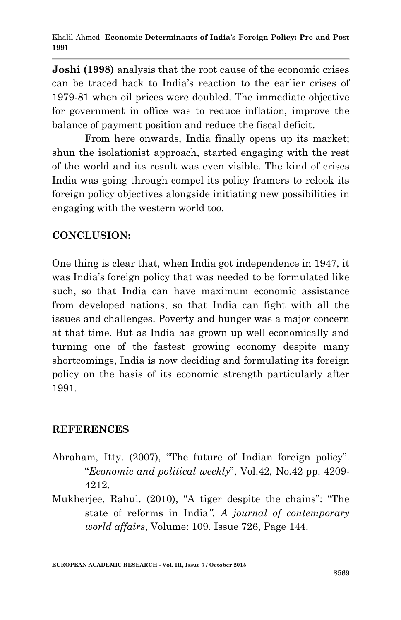**Joshi (1998)** analysis that the root cause of the economic crises can be traced back to India"s reaction to the earlier crises of 1979-81 when oil prices were doubled. The immediate objective for government in office was to reduce inflation, improve the balance of payment position and reduce the fiscal deficit.

From here onwards, India finally opens up its market; shun the isolationist approach, started engaging with the rest of the world and its result was even visible. The kind of crises India was going through compel its policy framers to relook its foreign policy objectives alongside initiating new possibilities in engaging with the western world too.

## **CONCLUSION:**

One thing is clear that, when India got independence in 1947, it was India's foreign policy that was needed to be formulated like such, so that India can have maximum economic assistance from developed nations, so that India can fight with all the issues and challenges. Poverty and hunger was a major concern at that time. But as India has grown up well economically and turning one of the fastest growing economy despite many shortcomings, India is now deciding and formulating its foreign policy on the basis of its economic strength particularly after 1991.

### **REFERENCES**

- Abraham, Itty. (2007), "The future of Indian foreign policy". "*Economic and political weekly*", Vol.42, No.42 pp. 4209- 4212.
- Mukherjee, Rahul. (2010), "A tiger despite the chains": "The state of reforms in India*". A journal of contemporary world affairs*, Volume: 109. Issue 726, Page 144.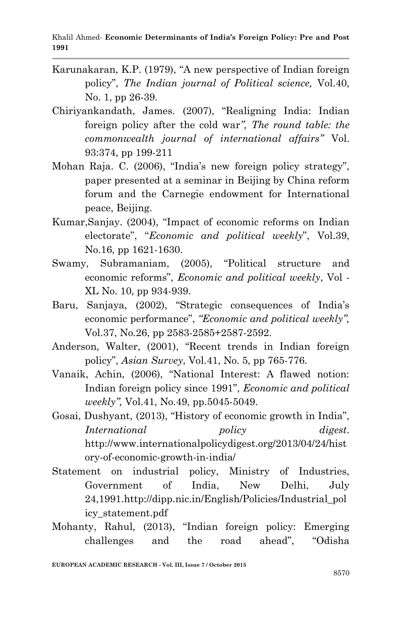- Karunakaran, K.P. (1979), "A new perspective of Indian foreign policy", *The Indian journal of Political science,* Vol.40, No. 1, pp 26-39.
- Chiriyankandath, James. (2007), "Realigning India: Indian foreign policy after the cold war*", The round table: the commonwealth journal of international affairs"* Vol. 93:374, pp 199-211
- Mohan Raja. C. (2006), "India's new foreign policy strategy", paper presented at a seminar in Beijing by China reform forum and the Carnegie endowment for International peace, Beijing.
- Kumar,Sanjay. (2004), "Impact of economic reforms on Indian electorate", "*Economic and political weekly*", Vol.39, No.16, pp 1621-1630.
- Swamy, Subramaniam, (2005), "Political structure and economic reforms", *Economic and political weekly*, Vol - XL No. 10, pp 934-939.
- Baru, Sanjaya, (2002), "Strategic consequences of India's economic performance", *"Economic and political weekly",*  Vol.37, No.26, pp 2583-2585+2587-2592.
- Anderson, Walter, (2001), "Recent trends in Indian foreign policy", *Asian Survey*, Vol.41, No. 5, pp 765-776.
- Vanaik, Achin, (2006), "National Interest: A flawed notion: Indian foreign policy since 1991", *Economic and political weekly",* Vol.41, No.49, pp.5045-5049.
- Gosai, Dushyant, (2013), "History of economic growth in India", *International policy digest*. http://www.internationalpolicydigest.org/2013/04/24/hist ory-of-economic-growth-in-india/
- Statement on industrial policy, Ministry of Industries, Government of India, New Delhi, July 24,1991.http://dipp.nic.in/English/Policies/Industrial\_pol icy\_statement.pdf
- Mohanty, Rahul, (2013), "Indian foreign policy: Emerging challenges and the road ahead", "Odisha